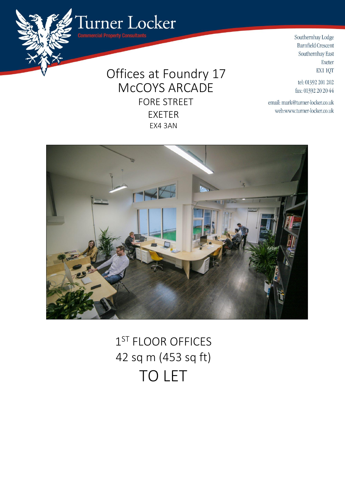Offices at Foundry 17 McCOYS ARCADE FORE STREET EXETER EX4 3AN

Turner Locker

mercial Property Consultants



tel: 01392 201 202 fax: 01392 20 20 44

email: mark@turner-locker.co.uk web:www.turner-locker.co.uk



1<sup>ST</sup> FLOOR OFFICES 42 sq m (453 sq ft) TO LET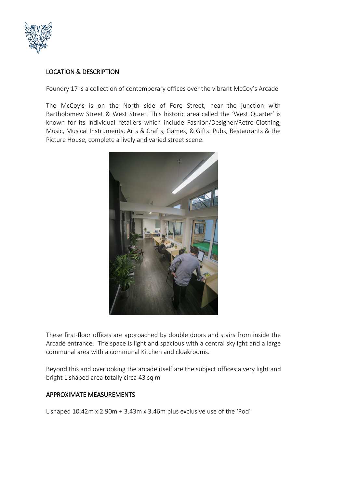

# LOCATION & DESCRIPTION

Foundry 17 is a collection of contemporary offices over the vibrant McCoy's Arcade

The McCoy's is on the North side of Fore Street, near the junction with Bartholomew Street & West Street. This historic area called the 'West Quarter' is known for its individual retailers which include Fashion/Designer/Retro-Clothing, Music, Musical Instruments, Arts & Crafts, Games, & Gifts. Pubs, Restaurants & the Picture House, complete a lively and varied street scene.



These first-floor offices are approached by double doors and stairs from inside the Arcade entrance. The space is light and spacious with a central skylight and a large communal area with a communal Kitchen and cloakrooms.

Beyond this and overlooking the arcade itself are the subject offices a very light and bright L shaped area totally circa 43 sq m

## APPROXIMATE MEASUREMENTS

L shaped 10.42m x 2.90m + 3.43m x 3.46m plus exclusive use of the 'Pod'